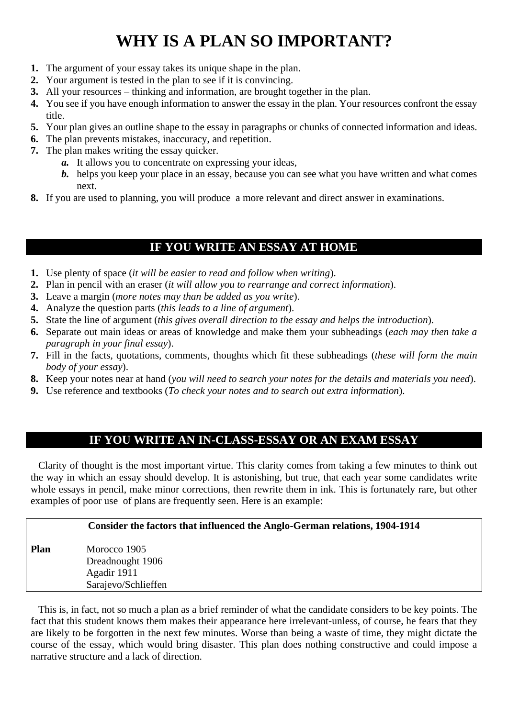## **WHY IS A PLAN SO IMPORTANT?**

- **1.** The argument of your essay takes its unique shape in the plan.
- **2.** Your argument is tested in the plan to see if it is convincing.
- **3.** All your resources thinking and information, are brought together in the plan.
- **4.** You see if you have enough information to answer the essay in the plan. Your resources confront the essay title.
- **5.** Your plan gives an outline shape to the essay in paragraphs or chunks of connected information and ideas.
- **6.** The plan prevents mistakes, inaccuracy, and repetition.
- **7.** The plan makes writing the essay quicker.
	- *a.* It allows you to concentrate on expressing your ideas,
	- *b.* helps you keep your place in an essay, because you can see what you have written and what comes next.
- **8.** If you are used to planning, you will produce a more relevant and direct answer in examinations.

## **IF YOU WRITE AN ESSAY AT HOME**

- **1.** Use plenty of space (*it will be easier to read and follow when writing*).
- **2.** Plan in pencil with an eraser (*it will allow you to rearrange and correct information*).
- **3.** Leave a margin (*more notes may than be added as you write*).
- **4.** Analyze the question parts (*this leads to a line of argument*).
- **5.** State the line of argument (*this gives overall direction to the essay and helps the introduction*).
- **6.** Separate out main ideas or areas of knowledge and make them your subheadings (*each may then take a paragraph in your final essay*).
- **7.** Fill in the facts, quotations, comments, thoughts which fit these subheadings (*these will form the main body of your essay*).
- **8.** Keep your notes near at hand (*you will need to search your notes for the details and materials you need*).
- **9.** Use reference and textbooks (*To check your notes and to search out extra information*).

## **IF YOU WRITE AN IN-CLASS-ESSAY OR AN EXAM ESSAY**

 Clarity of thought is the most important virtue. This clarity comes from taking a few minutes to think out the way in which an essay should develop. It is astonishing, but true, that each year some candidates write whole essays in pencil, make minor corrections, then rewrite them in ink. This is fortunately rare, but other examples of poor use of plans are frequently seen. Here is an example:

## **Consider the factors that influenced the Anglo-German relations, 1904-1914**

**Plan** Morocco 1905 Dreadnought 1906 Agadir 1911 Sarajevo/Schlieffen

 This is, in fact, not so much a plan as a brief reminder of what the candidate considers to be key points. The fact that this student knows them makes their appearance here irrelevant-unless, of course, he fears that they are likely to be forgotten in the next few minutes. Worse than being a waste of time, they might dictate the course of the essay, which would bring disaster. This plan does nothing constructive and could impose a narrative structure and a lack of direction.